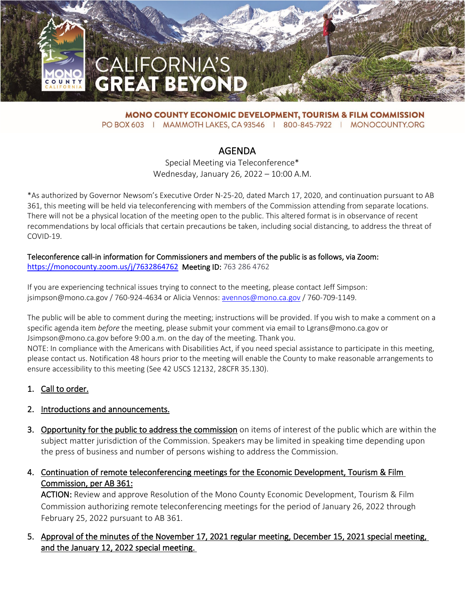

**MONO COUNTY ECONOMIC DEVELOPMENT, TOURISM & FILM COMMISSION** PO BOX 603 | MAMMOTH LAKES, CA 93546 | 800-845-7922 | MONOCOUNTY.ORG

# AGENDA

Special Meeting via Teleconference\* Wednesday, January 26, 2022 – 10:00 A.M.

\*As authorized by Governor Newsom's Executive Order N-25-20, dated March 17, 2020, and continuation pursuant to AB 361, this meeting will be held via teleconferencing with members of the Commission attending from separate locations. There will not be a physical location of the meeting open to the public. This altered format is in observance of recent recommendations by local officials that certain precautions be taken, including social distancing, to address the threat of COVID-19.

#### Teleconference call-in information for Commissioners and members of the public is as follows, via Zoom: <https://monocounty.zoom.us/j/7632864762>Meeting ID: 763 286 4762

If you are experiencing technical issues trying to connect to the meeting, please contact Jeff Simpson: jsimpson@mono.ca.gov / 760-924-4634 or Alicia Vennos: [avennos@mono.ca.gov](mailto:avennos@mono.ca.gov) / 760-709-1149.

The public will be able to comment during the meeting; instructions will be provided. If you wish to make a comment on a specific agenda item *before* the meeting, please submit your comment via email to Lgrans@mono.ca.gov or Jsimpson@mono.ca.gov before 9:00 a.m. on the day of the meeting. Thank you.

NOTE: In compliance with the Americans with Disabilities Act, if you need special assistance to participate in this meeting, please contact us. Notification 48 hours prior to the meeting will enable the County to make reasonable arrangements to ensure accessibility to this meeting (See 42 USCS 12132, 28CFR 35.130).

# 1. Call to order.

#### 2. Introductions and announcements.

3. Opportunity for the public to address the commission on items of interest of the public which are within the subject matter jurisdiction of the Commission. Speakers may be limited in speaking time depending upon the press of business and number of persons wishing to address the Commission.

# 4. Continuation of remote teleconferencing meetings for the Economic Development, Tourism & Film Commission, per AB 361:

ACTION: Review and approve Resolution of the Mono County Economic Development, Tourism & Film Commission authorizing remote teleconferencing meetings for the period of January 26, 2022 through February 25, 2022 pursuant to AB 361.

# 5. Approval of the minutes of the November 17, 2021 regular meeting, December 15, 2021 special meeting, and the January 12, 2022 special meeting.